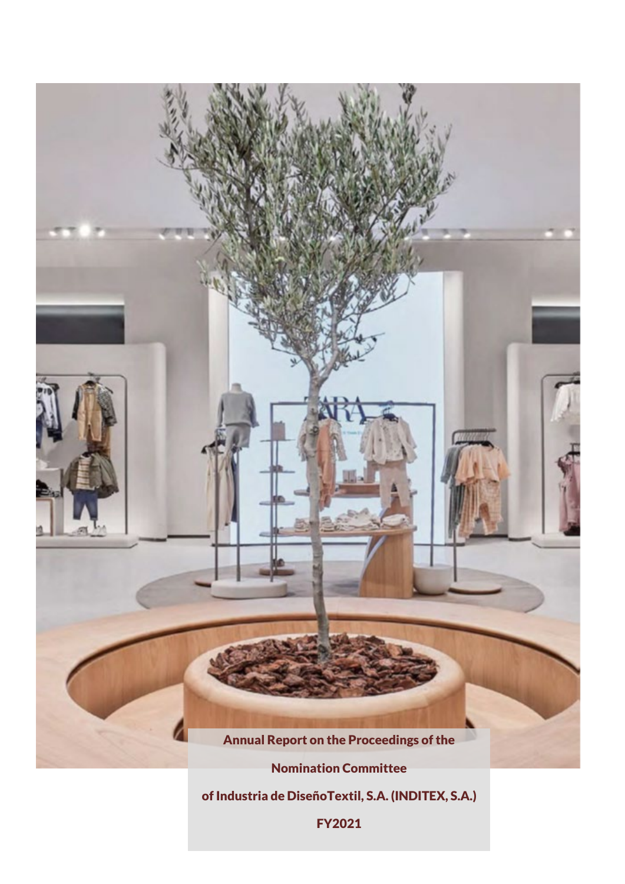

of Industria de DiseñoTextil, S.A. (INDITEX, S.A.)

FY2021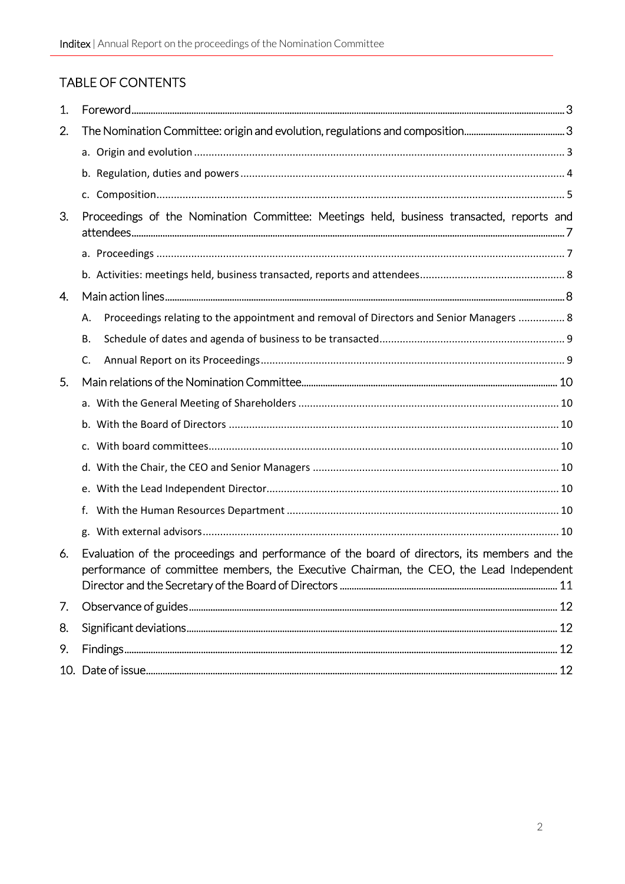# TABLE OF CONTENTS

| $\mathbf{1}$ . |                                                                                                                                                                                         |  |  |
|----------------|-----------------------------------------------------------------------------------------------------------------------------------------------------------------------------------------|--|--|
| 2.             |                                                                                                                                                                                         |  |  |
|                |                                                                                                                                                                                         |  |  |
|                |                                                                                                                                                                                         |  |  |
|                |                                                                                                                                                                                         |  |  |
| 3.             | Proceedings of the Nomination Committee: Meetings held, business transacted, reports and                                                                                                |  |  |
|                |                                                                                                                                                                                         |  |  |
|                |                                                                                                                                                                                         |  |  |
| 4.             |                                                                                                                                                                                         |  |  |
|                | Proceedings relating to the appointment and removal of Directors and Senior Managers  8<br>Α.                                                                                           |  |  |
|                | В.                                                                                                                                                                                      |  |  |
|                | C.                                                                                                                                                                                      |  |  |
| 5.             |                                                                                                                                                                                         |  |  |
|                |                                                                                                                                                                                         |  |  |
|                |                                                                                                                                                                                         |  |  |
|                |                                                                                                                                                                                         |  |  |
|                |                                                                                                                                                                                         |  |  |
|                |                                                                                                                                                                                         |  |  |
|                | f.                                                                                                                                                                                      |  |  |
|                |                                                                                                                                                                                         |  |  |
| 6.             | Evaluation of the proceedings and performance of the board of directors, its members and the<br>performance of committee members, the Executive Chairman, the CEO, the Lead Independent |  |  |
| 7.             |                                                                                                                                                                                         |  |  |
| 8.             |                                                                                                                                                                                         |  |  |
| 9.             |                                                                                                                                                                                         |  |  |
|                |                                                                                                                                                                                         |  |  |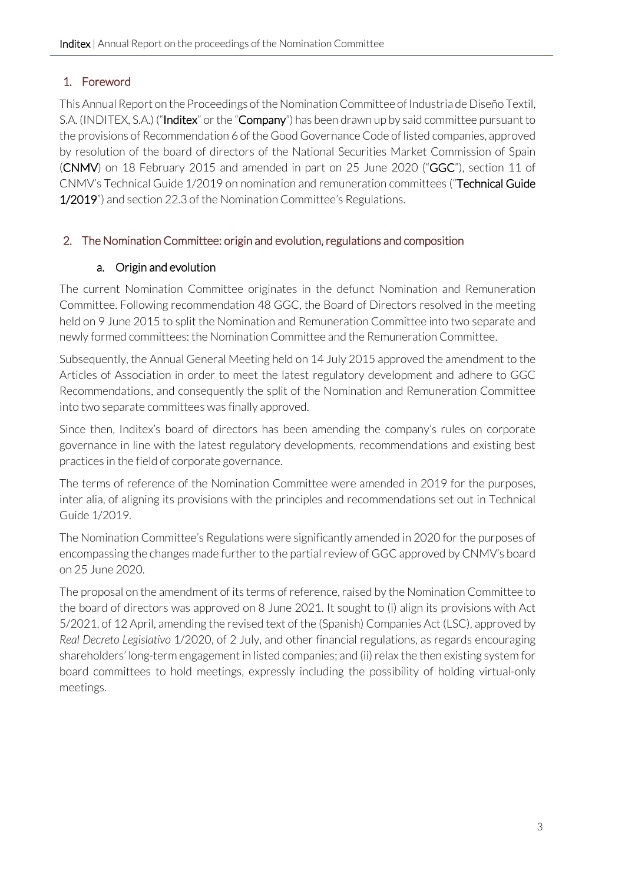## <span id="page-2-0"></span>1. Foreword

This Annual Report on the Proceedings of the Nomination Committee of Industria de Diseño Textil, S.A. (INDITEX, S.A.) ("Inditex" or the "Company") has been drawn up by said committee pursuant to the provisions of Recommendation 6 of the Good Governance Code of listed companies, approved by resolution of the board of directors of the National Securities Market Commission of Spain (CNMV) on 18 February 2015 and amended in part on 25 June 2020 ("GGC"), section 11 of CNMV's Technical Guide 1/2019 on nomination and remuneration committees ("Technical Guide 1/2019") and section 22.3 of the Nomination Committee's Regulations.

### <span id="page-2-2"></span><span id="page-2-1"></span>2. The Nomination Committee: origin and evolution, regulations and composition

### a. Origin and evolution

The current Nomination Committee originates in the defunct Nomination and Remuneration Committee. Following recommendation 48 GGC, the Board of Directors resolved in the meeting held on 9 June 2015 to split the Nomination and Remuneration Committee into two separate and newly formed committees: the Nomination Committee and the Remuneration Committee.

Subsequently, the Annual General Meeting held on 14 July 2015 approved the amendment to the Articles of Association in order to meet the latest regulatory development and adhere to GGC Recommendations, and consequently the split of the Nomination and Remuneration Committee into two separate committees was finally approved.

Since then, Inditex's board of directors has been amending the company's rules on corporate governance in line with the latest regulatory developments, recommendations and existing best practices in the field of corporate governance.

The terms of reference of the Nomination Committee were amended in 2019 for the purposes, inter alia, of aligning its provisions with the principles and recommendations set out in Technical Guide 1/2019.

The Nomination Committee's Regulations were significantly amended in 2020 for the purposes of encompassing the changes made further to the partial review of GGC approved by CNMV's board on 25 June 2020.

The proposal on the amendment of its terms of reference, raised by the Nomination Committee to the board of directors was approved on 8 June 2021. It sought to (i) align its provisions with Act 5/2021, of 12 April, amending the revised text of the (Spanish) Companies Act (LSC), approved by *Real Decreto Legislativo* 1/2020, of 2 July, and other financial regulations, as regards encouraging shareholders' long-term engagement in listed companies; and (ii) relax the then existing system for board committees to hold meetings, expressly including the possibility of holding virtual-only meetings.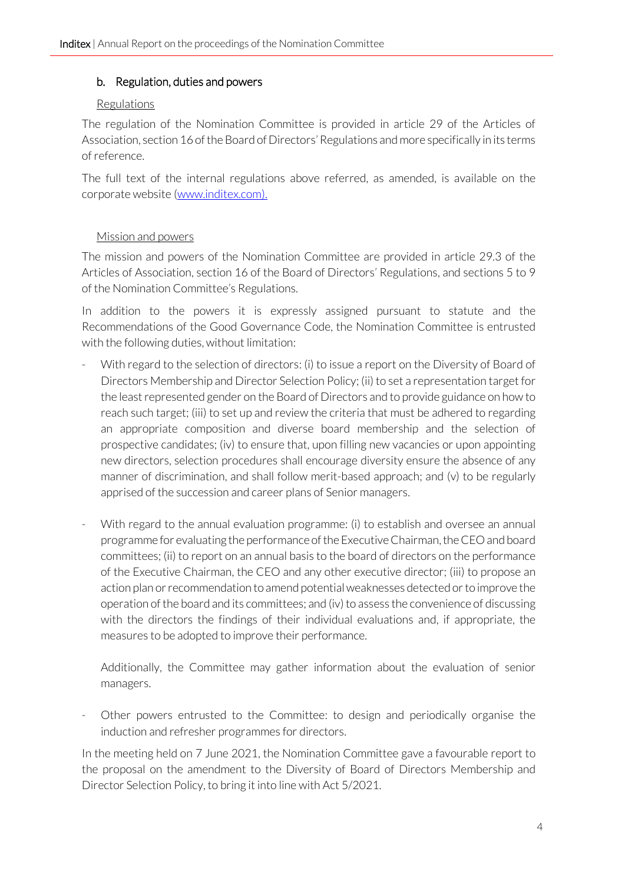#### <span id="page-3-0"></span>b. Regulation, duties and powers

#### Regulations

The regulation of the Nomination Committee is provided in article 29 of the Articles of Association, section 16 of the Board of Directors' Regulations and more specifically in its terms of reference.

The full text of the internal regulations above referred, as amended, is available on the corporate website [\(www.inditex.com\).](http://www.inditex.com/)

#### Mission and powers

The mission and powers of the Nomination Committee are provided in article 29.3 of the Articles of Association, section 16 of the Board of Directors' Regulations, and sections 5 to 9 of the Nomination Committee's Regulations.

In addition to the powers it is expressly assigned pursuant to statute and the Recommendations of the Good Governance Code, the Nomination Committee is entrusted with the following duties, without limitation:

- With regard to the selection of directors: (i) to issue a report on the Diversity of Board of Directors Membership and Director Selection Policy; (ii) to set a representation target for the least represented gender on the Board of Directors and to provide guidance on how to reach such target; (iii) to set up and review the criteria that must be adhered to regarding an appropriate composition and diverse board membership and the selection of prospective candidates; (iv) to ensure that, upon filling new vacancies or upon appointing new directors, selection procedures shall encourage diversity ensure the absence of any manner of discrimination, and shall follow merit-based approach; and (v) to be regularly apprised of the succession and career plans of Senior managers.
- With regard to the annual evaluation programme: (i) to establish and oversee an annual programme for evaluating the performance of the Executive Chairman, the CEO and board committees; (ii) to report on an annual basis to the board of directors on the performance of the Executive Chairman, the CEO and any other executive director; (iii) to propose an action plan or recommendation to amend potential weaknesses detected or to improve the operation of the board and its committees; and (iv) to assess the convenience of discussing with the directors the findings of their individual evaluations and, if appropriate, the measures to be adopted to improve their performance.

Additionally, the Committee may gather information about the evaluation of senior managers.

- Other powers entrusted to the Committee: to design and periodically organise the induction and refresher programmes for directors.

In the meeting held on 7 June 2021, the Nomination Committee gave a favourable report to the proposal on the amendment to the Diversity of Board of Directors Membership and Director Selection Policy, to bring it into line with Act 5/2021.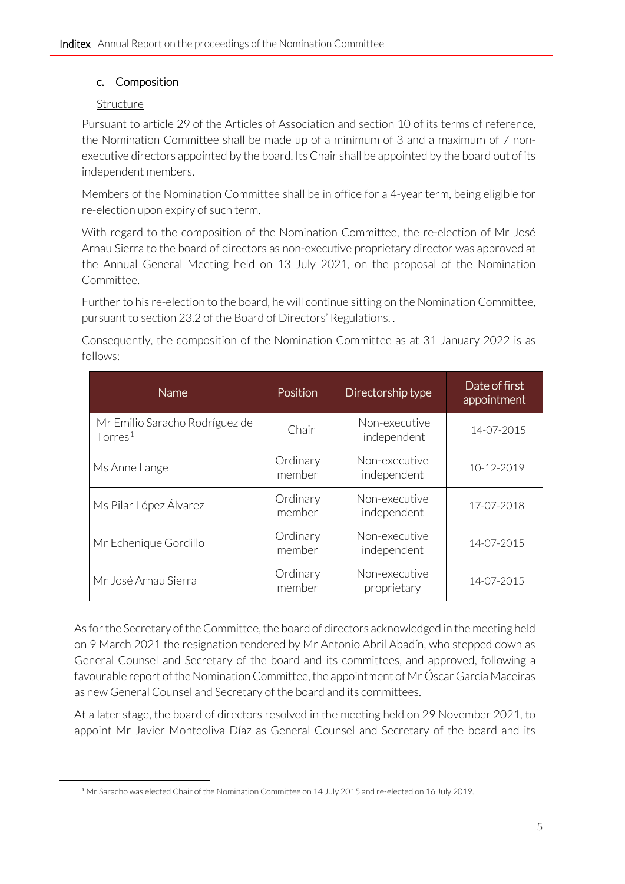#### <span id="page-4-0"></span>c. Composition

#### Structure

Pursuant to article 29 of the Articles of Association and section 10 of its terms of reference, the Nomination Committee shall be made up of a minimum of 3 and a maximum of 7 nonexecutive directors appointed by the board. Its Chair shall be appointed by the board out of its independent members.

Members of the Nomination Committee shall be in office for a 4-year term, being eligible for re-election upon expiry of such term.

With regard to the composition of the Nomination Committee, the re-election of Mr José Arnau Sierra to the board of directors as non-executive proprietary director was approved at the Annual General Meeting held on 13 July 2021, on the proposal of the Nomination Committee.

Further to his re-election to the board, he will continue sitting on the Nomination Committee, pursuant to section 23.2 of the Board of Directors' Regulations. .

Consequently, the composition of the Nomination Committee as at 31 January 2022 is as follows:

| <b>Name</b>                                           | Position           | Directorship type            | Date of first<br>appointment |
|-------------------------------------------------------|--------------------|------------------------------|------------------------------|
| Mr Emilio Saracho Rodríguez de<br>Torres <sup>1</sup> | Chair              | Non-executive<br>independent | 14-07-2015                   |
| Ms Anne Lange                                         | Ordinary<br>member | Non-executive<br>independent | 10-12-2019                   |
| Ms Pilar López Álvarez                                | Ordinary<br>member | Non-executive<br>independent | 17-07-2018                   |
| Mr Echenique Gordillo                                 | Ordinary<br>member | Non-executive<br>independent | 14-07-2015                   |
| Mr José Arnau Sierra                                  | Ordinary<br>member | Non-executive<br>proprietary | 14-07-2015                   |

As for the Secretary of the Committee, the board of directors acknowledged in the meeting held on 9 March 2021 the resignation tendered by Mr Antonio Abril Abadín, who stepped down as General Counsel and Secretary of the board and its committees, and approved, following a favourable report of the Nomination Committee, the appointment of Mr Óscar García Maceiras as new General Counsel and Secretary of the board and its committees.

At a later stage, the board of directors resolved in the meeting held on 29 November 2021, to appoint Mr Javier Monteoliva Díaz as General Counsel and Secretary of the board and its

<span id="page-4-1"></span><sup>1</sup> Mr Saracho was elected Chair of the Nomination Committee on 14 July 2015 and re-elected on 16 July 2019.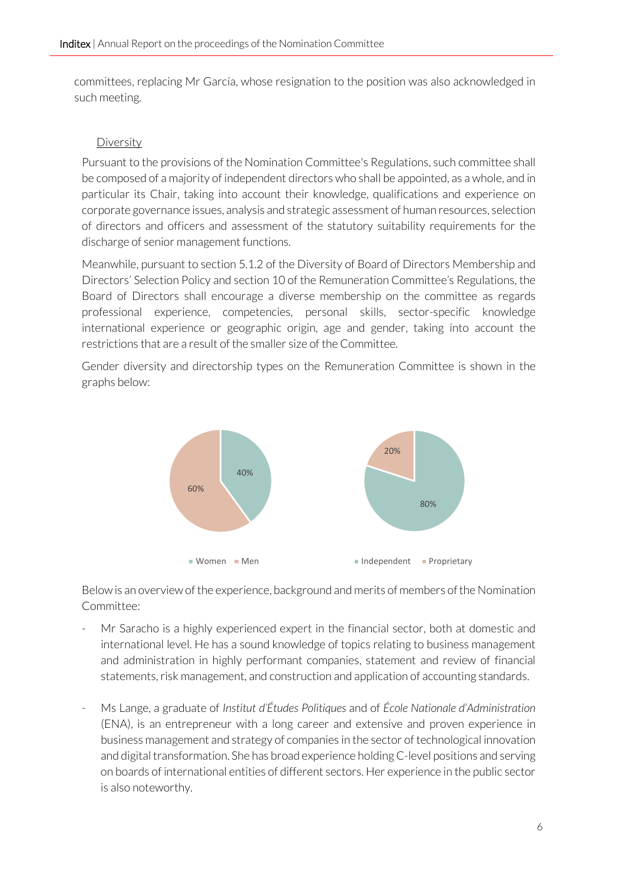committees, replacing Mr García, whose resignation to the position was also acknowledged in such meeting.

#### **Diversity**

Pursuant to the provisions of the Nomination Committee's Regulations, such committee shall be composed of a majority of independent directors who shall be appointed, as a whole, and in particular its Chair, taking into account their knowledge, qualifications and experience on corporate governance issues, analysis and strategic assessment of human resources, selection of directors and officers and assessment of the statutory suitability requirements for the discharge of senior management functions.

Meanwhile, pursuant to section 5.1.2 of the Diversity of Board of Directors Membership and Directors' Selection Policy and section 10 of the Remuneration Committee's Regulations, the Board of Directors shall encourage a diverse membership on the committee as regards professional experience, competencies, personal skills, sector-specific knowledge international experience or geographic origin, age and gender, taking into account the restrictions that are a result of the smaller size of the Committee.

Gender diversity and directorship types on the Remuneration Committee is shown in the graphs below:



Below is an overview of the experience, background and merits of members of the Nomination Committee:

- Mr Saracho is a highly experienced expert in the financial sector, both at domestic and international level. He has a sound knowledge of topics relating to business management and administration in highly performant companies, statement and review of financial statements, risk management, and construction and application of accounting standards.
- Ms Lange, a graduate of *Institut d'Études Politiques* and of *École Nationale d'Administration* (ENA), is an entrepreneur with a long career and extensive and proven experience in business management and strategy of companies in the sector of technological innovation and digital transformation. She has broad experience holding C-level positions and serving on boards of international entities of different sectors. Her experience in the public sector is also noteworthy.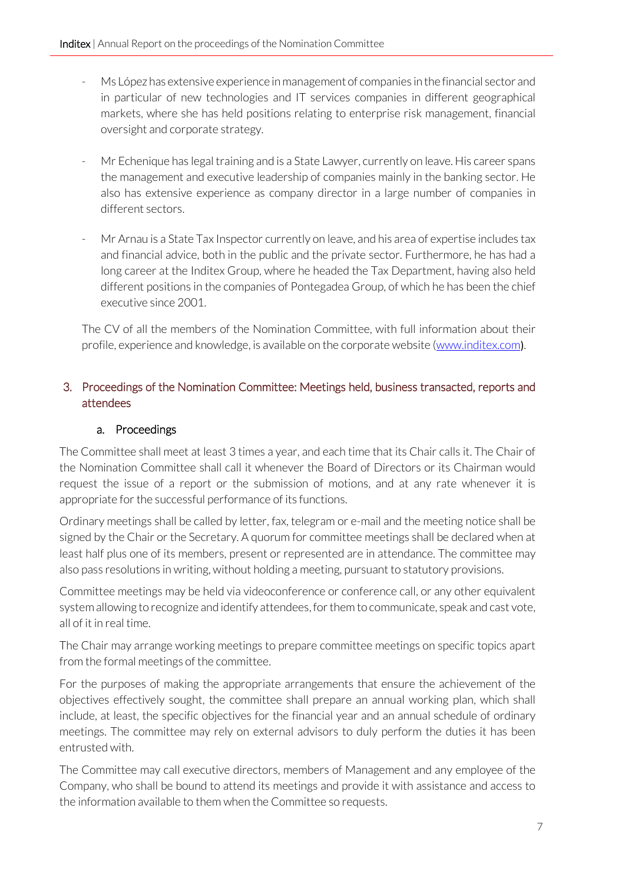- Ms López has extensive experience in management of companies in the financial sector and in particular of new technologies and IT services companies in different geographical markets, where she has held positions relating to enterprise risk management, financial oversight and corporate strategy.
- Mr Echenique has legal training and is a State Lawyer, currently on leave. His career spans the management and executive leadership of companies mainly in the banking sector. He also has extensive experience as company director in a large number of companies in different sectors.
- Mr Arnau is a State Tax Inspector currently on leave, and his area of expertise includes tax and financial advice, both in the public and the private sector. Furthermore, he has had a long career at the Inditex Group, where he headed the Tax Department, having also held different positions in the companies of Pontegadea Group, of which he has been the chief executive since 2001.

The CV of all the members of the Nomination Committee, with full information about their profile, experience and knowledge, is available on the corporate website [\(www.inditex.com](http://www.inditex.com/)[\)](http://www.inditex.com/).

### <span id="page-6-0"></span>3. Proceedings of the Nomination Committee: Meetings held, business transacted, reports and attendees

### a. Proceedings

<span id="page-6-1"></span>The Committee shall meet at least 3 times a year, and each time that its Chair calls it. The Chair of the Nomination Committee shall call it whenever the Board of Directors or its Chairman would request the issue of a report or the submission of motions, and at any rate whenever it is appropriate for the successful performance of its functions.

Ordinary meetings shall be called by letter, fax, telegram or e-mail and the meeting notice shall be signed by the Chair or the Secretary. A quorum for committee meetings shall be declared when at least half plus one of its members, present or represented are in attendance. The committee may also pass resolutions in writing, without holding a meeting, pursuant to statutory provisions.

Committee meetings may be held via videoconference or conference call, or any other equivalent system allowing to recognize and identify attendees, for them to communicate, speak and cast vote, all of it in real time.

The Chair may arrange working meetings to prepare committee meetings on specific topics apart from the formal meetings of the committee.

For the purposes of making the appropriate arrangements that ensure the achievement of the objectives effectively sought, the committee shall prepare an annual working plan, which shall include, at least, the specific objectives for the financial year and an annual schedule of ordinary meetings. The committee may rely on external advisors to duly perform the duties it has been entrusted with.

The Committee may call executive directors, members of Management and any employee of the Company, who shall be bound to attend its meetings and provide it with assistance and access to the information available to them when the Committee so requests.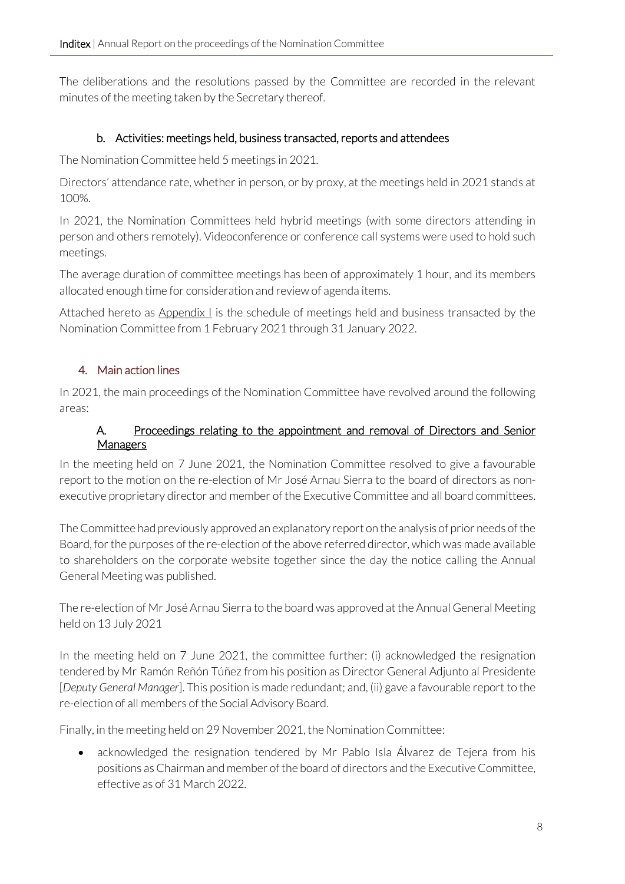The deliberations and the resolutions passed by the Committee are recorded in the relevant minutes of the meeting taken by the Secretary thereof.

### b. Activities: meetings held, business transacted, reports and attendees

<span id="page-7-0"></span>The Nomination Committee held 5 meetings in 2021.

Directors' attendance rate, whether in person, or by proxy, at the meetings held in 2021 stands at 100%.

In 2021, the Nomination Committees held hybrid meetings (with some directors attending in person and others remotely). Videoconference or conference call systems were used to hold such meetings.

The average duration of committee meetings has been of approximately 1 hour, and its members allocated enough time for consideration and review of agenda items.

Attached hereto as  $\Delta p$  and  $x \perp y$  is the schedule of meetings held and business transacted by the Nomination Committee from 1 February 2021 through 31 January 2022.

### <span id="page-7-1"></span>4. Main action lines

In 2021, the main proceedings of the Nomination Committee have revolved around the following areas:

#### A. Proceedings relating to the appointment and removal of Directors and Senior Managers

<span id="page-7-2"></span>In the meeting held on 7 June 2021, the Nomination Committee resolved to give a favourable report to the motion on the re-election of Mr José Arnau Sierra to the board of directors as nonexecutive proprietary director and member of the Executive Committee and all board committees.

The Committee had previously approved an explanatory report on the analysis of prior needs of the Board, for the purposes of the re-election of the above referred director, which was made available to shareholders on the corporate website together since the day the notice calling the Annual General Meeting was published.

The re-election of Mr José Arnau Sierra to the board was approved at the Annual General Meeting held on 13 July 2021

In the meeting held on 7 June 2021, the committee further: (i) acknowledged the resignation tendered by Mr Ramón Reñón Túñez from his position as Director General Adjunto al Presidente [*Deputy General Manager*]. This position is made redundant; and, (ii) gave a favourable report to the re-election of all members of the Social Advisory Board.

Finally, in the meeting held on 29 November 2021, the Nomination Committee:

• acknowledged the resignation tendered by Mr Pablo Isla Álvarez de Tejera from his positions as Chairman and member of the board of directors and the Executive Committee, effective as of 31 March 2022.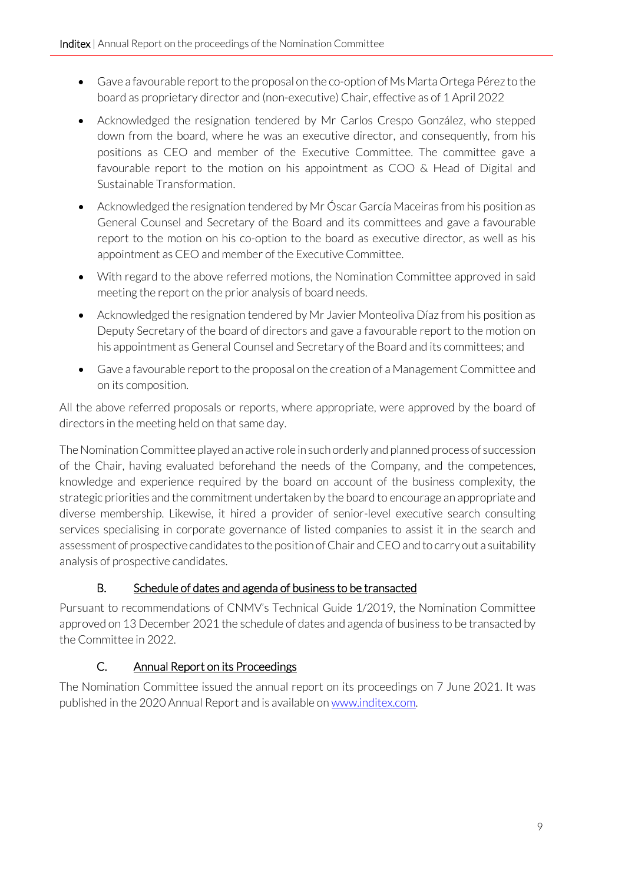- Gave a favourable report to the proposal on the co-option of Ms Marta Ortega Pérez to the board as proprietary director and (non-executive) Chair, effective as of 1 April 2022
- Acknowledged the resignation tendered by Mr Carlos Crespo González, who stepped down from the board, where he was an executive director, and consequently, from his positions as CEO and member of the Executive Committee. The committee gave a favourable report to the motion on his appointment as COO & Head of Digital and Sustainable Transformation.
- Acknowledged the resignation tendered by Mr Óscar García Maceiras from his position as General Counsel and Secretary of the Board and its committees and gave a favourable report to the motion on his co-option to the board as executive director, as well as his appointment as CEO and member of the Executive Committee.
- With regard to the above referred motions, the Nomination Committee approved in said meeting the report on the prior analysis of board needs.
- Acknowledged the resignation tendered by Mr Javier Monteoliva Díaz from his position as Deputy Secretary of the board of directors and gave a favourable report to the motion on his appointment as General Counsel and Secretary of the Board and its committees; and
- Gave a favourable report to the proposal on the creation of a Management Committee and on its composition.

All the above referred proposals or reports, where appropriate, were approved by the board of directors in the meeting held on that same day.

The Nomination Committee played an active role in such orderly and planned process of succession of the Chair, having evaluated beforehand the needs of the Company, and the competences, knowledge and experience required by the board on account of the business complexity, the strategic priorities and the commitment undertaken by the board to encourage an appropriate and diverse membership. Likewise, it hired a provider of senior-level executive search consulting services specialising in corporate governance of listed companies to assist it in the search and assessment of prospective candidates to the position of Chair and CEO and to carry out a suitability analysis of prospective candidates.

### B. Schedule of dates and agenda of business to be transacted

<span id="page-8-0"></span>Pursuant to recommendations of CNMV's Technical Guide 1/2019, the Nomination Committee approved on 13 December 2021 the schedule of dates and agenda of business to be transacted by the Committee in 2022.

### C. Annual Report on its Proceedings

<span id="page-8-1"></span>The Nomination Committee issued the annual report on its proceedings on 7 June 2021. It was published in the 2020 Annual Report and is available on www.inditex.com.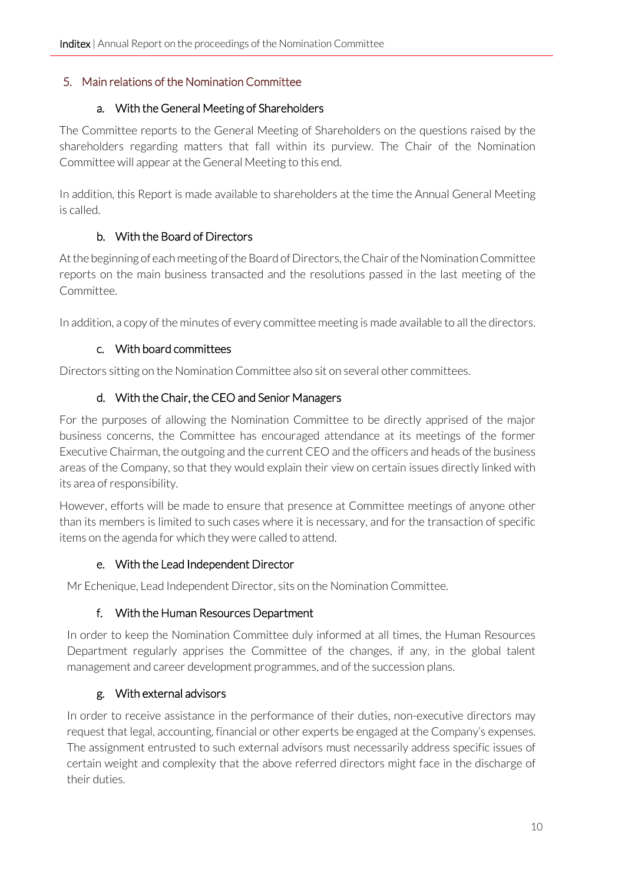#### <span id="page-9-1"></span><span id="page-9-0"></span>5. Main relations of the Nomination Committee

#### a. With the General Meeting of Shareholders

The Committee reports to the General Meeting of Shareholders on the questions raised by the shareholders regarding matters that fall within its purview. The Chair of the Nomination Committee will appear at the General Meeting to this end.

In addition, this Report is made available to shareholders at the time the Annual General Meeting is called.

### b. With the Board of Directors

<span id="page-9-2"></span>At the beginning of each meeting of the Board of Directors, the Chair of the Nomination Committee reports on the main business transacted and the resolutions passed in the last meeting of the Committee.

In addition, a copy of the minutes of every committee meeting is made available to all the directors.

### c. With board committees

<span id="page-9-4"></span><span id="page-9-3"></span>Directors sitting on the Nomination Committee also sit on several other committees.

### d. With the Chair, the CEO and Senior Managers

For the purposes of allowing the Nomination Committee to be directly apprised of the major business concerns, the Committee has encouraged attendance at its meetings of the former Executive Chairman, the outgoing and the current CEO and the officers and heads of the business areas of the Company, so that they would explain their view on certain issues directly linked with its area of responsibility.

However, efforts will be made to ensure that presence at Committee meetings of anyone other than its members is limited to such cases where it is necessary, and for the transaction of specific items on the agenda for which they were called to attend.

### e. With the Lead Independent Director

<span id="page-9-6"></span><span id="page-9-5"></span>Mr Echenique, Lead Independent Director, sits on the Nomination Committee.

### f. With the Human Resources Department

In order to keep the Nomination Committee duly informed at all times, the Human Resources Department regularly apprises the Committee of the changes, if any, in the global talent management and career development programmes, and of the succession plans.

### g. With external advisors

<span id="page-9-7"></span>In order to receive assistance in the performance of their duties, non-executive directors may request that legal, accounting, financial or other experts be engaged at the Company's expenses. The assignment entrusted to such external advisors must necessarily address specific issues of certain weight and complexity that the above referred directors might face in the discharge of their duties.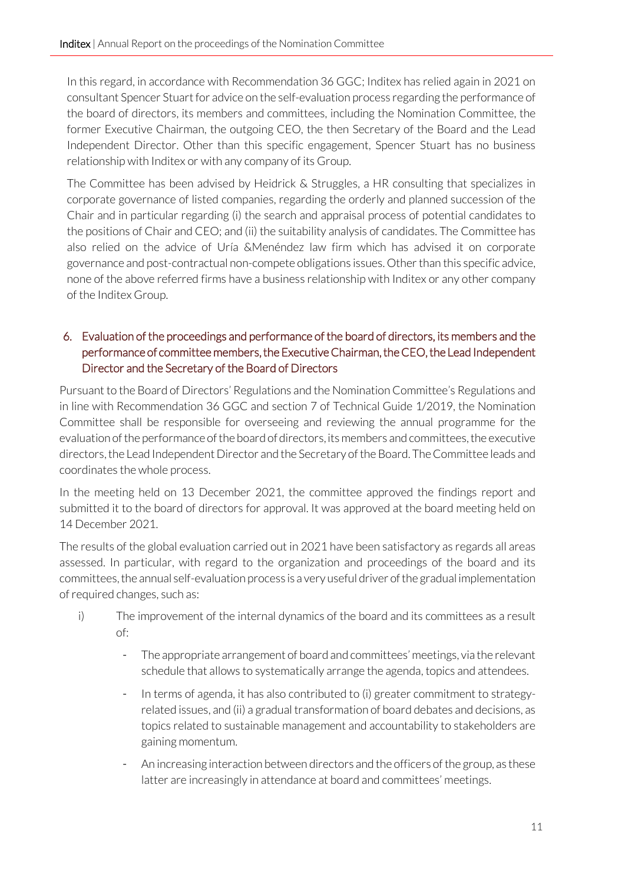In this regard, in accordance with Recommendation 36 GGC; Inditex has relied again in 2021 on consultant Spencer Stuart for advice on the self-evaluation process regarding the performance of the board of directors, its members and committees, including the Nomination Committee, the former Executive Chairman, the outgoing CEO, the then Secretary of the Board and the Lead Independent Director. Other than this specific engagement, Spencer Stuart has no business relationship with Inditex or with any company of its Group.

The Committee has been advised by Heidrick & Struggles, a HR consulting that specializes in corporate governance of listed companies, regarding the orderly and planned succession of the Chair and in particular regarding (i) the search and appraisal process of potential candidates to the positions of Chair and CEO; and (ii) the suitability analysis of candidates. The Committee has also relied on the advice of Uría &Menéndez law firm which has advised it on corporate governance and post-contractual non-compete obligations issues. Other than this specific advice, none of the above referred firms have a business relationship with Inditex or any other company of the Inditex Group.

### <span id="page-10-0"></span>6. Evaluation of the proceedings and performance of the board of directors, its members and the performance of committee members, the Executive Chairman, the CEO, the Lead Independent Director and the Secretary of the Board of Directors

Pursuant to the Board of Directors' Regulations and the Nomination Committee's Regulations and in line with Recommendation 36 GGC and section 7 of Technical Guide 1/2019, the Nomination Committee shall be responsible for overseeing and reviewing the annual programme for the evaluation of the performance of the board of directors, its members and committees, the executive directors, the Lead Independent Director and the Secretary of the Board. The Committee leads and coordinates the whole process.

In the meeting held on 13 December 2021, the committee approved the findings report and submitted it to the board of directors for approval. It was approved at the board meeting held on 14 December 2021.

The results of the global evaluation carried out in 2021 have been satisfactory as regards all areas assessed. In particular, with regard to the organization and proceedings of the board and its committees, the annual self-evaluation process is a very useful driver of the gradual implementation of required changes, such as:

- i) The improvement of the internal dynamics of the board and its committees as a result of:
	- The appropriate arrangement of board and committees' meetings, via the relevant schedule that allows to systematically arrange the agenda, topics and attendees.
	- In terms of agenda, it has also contributed to (i) greater commitment to strategyrelated issues, and (ii) a gradual transformation of board debates and decisions, as topics related to sustainable management and accountability to stakeholders are gaining momentum.
	- An increasing interaction between directors and the officers of the group, as these latter are increasingly in attendance at board and committees' meetings.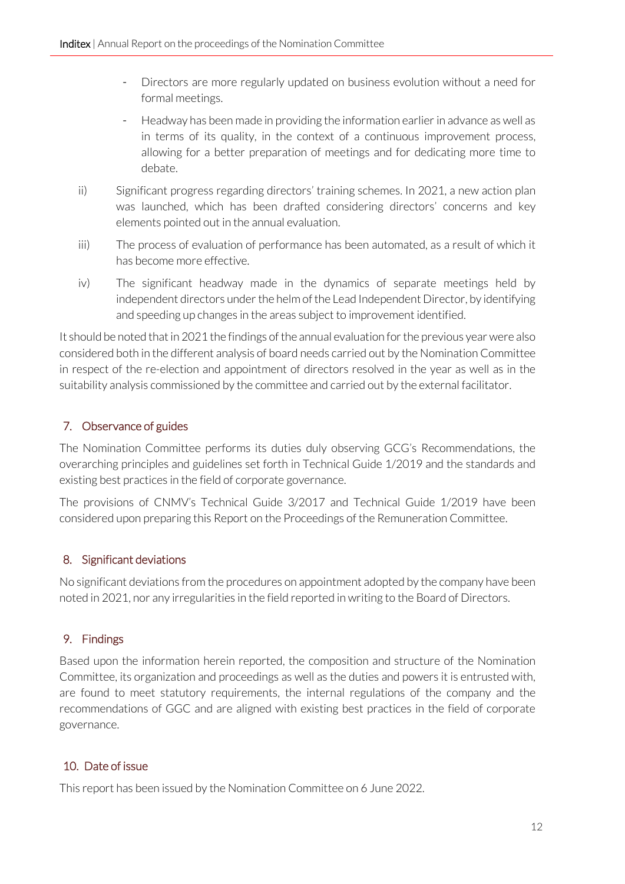- Directors are more regularly updated on business evolution without a need for formal meetings.
- Headway has been made in providing the information earlier in advance as well as in terms of its quality, in the context of a continuous improvement process, allowing for a better preparation of meetings and for dedicating more time to debate.
- ii) Significant progress regarding directors' training schemes. In 2021, a new action plan was launched, which has been drafted considering directors' concerns and key elements pointed out in the annual evaluation.
- iii) The process of evaluation of performance has been automated, as a result of which it has become more effective.
- iv) The significant headway made in the dynamics of separate meetings held by independent directors under the helm of the Lead Independent Director, by identifying and speeding up changes in the areas subject to improvement identified.

It should be noted that in 2021 the findings of the annual evaluation for the previous year were also considered both in the different analysis of board needs carried out by the Nomination Committee in respect of the re-election and appointment of directors resolved in the year as well as in the suitability analysis commissioned by the committee and carried out by the external facilitator.

# <span id="page-11-0"></span>7. Observance of guides

The Nomination Committee performs its duties duly observing GCG's Recommendations, the overarching principles and guidelines set forth in Technical Guide 1/2019 and the standards and existing best practices in the field of corporate governance.

The provisions of CNMV's Technical Guide 3/2017 and Technical Guide 1/2019 have been considered upon preparing this Report on the Proceedings of the Remuneration Committee.

### <span id="page-11-1"></span>8. Significant deviations

No significant deviations from the procedures on appointment adopted by the company have been noted in 2021, nor any irregularities in the field reported in writing to the Board of Directors.

### <span id="page-11-2"></span>9. Findings

Based upon the information herein reported, the composition and structure of the Nomination Committee, its organization and proceedings as well as the duties and powers it is entrusted with, are found to meet statutory requirements, the internal regulations of the company and the recommendations of GGC and are aligned with existing best practices in the field of corporate governance.

# <span id="page-11-3"></span>10. Date of issue

This report has been issued by the Nomination Committee on 6 June 2022.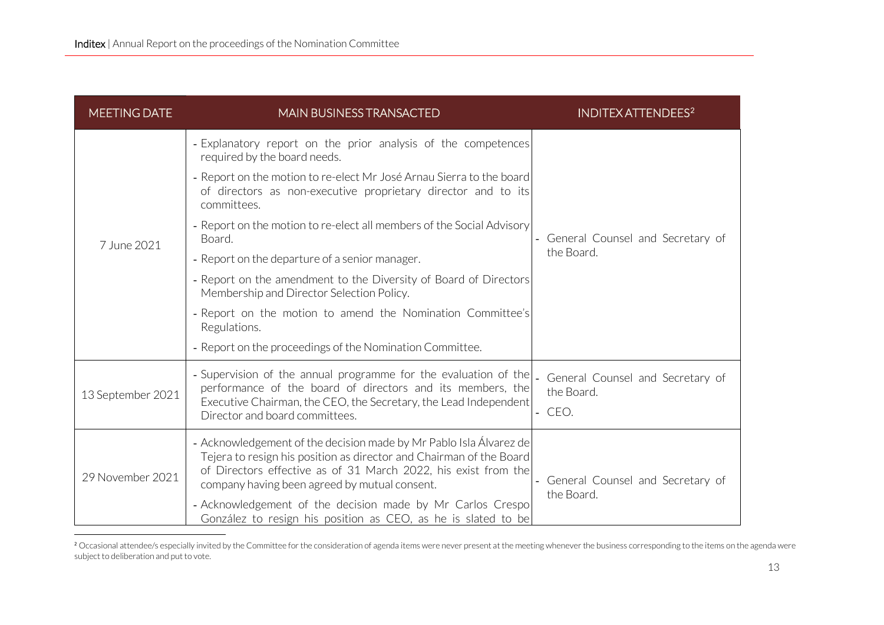<span id="page-12-0"></span>

| <b>MEETING DATE</b> | <b>MAIN BUSINESS TRANSACTED</b>                                                                                                                                                                                                                              | <b>INDITEX ATTENDEES<sup>2</sup></b>                   |  |
|---------------------|--------------------------------------------------------------------------------------------------------------------------------------------------------------------------------------------------------------------------------------------------------------|--------------------------------------------------------|--|
|                     | - Explanatory report on the prior analysis of the competences<br>required by the board needs.                                                                                                                                                                | General Counsel and Secretary of<br>the Board.         |  |
|                     | - Report on the motion to re-elect Mr José Arnau Sierra to the board<br>of directors as non-executive proprietary director and to its<br>committees.                                                                                                         |                                                        |  |
| 7 June 2021         | - Report on the motion to re-elect all members of the Social Advisory<br>Board.                                                                                                                                                                              |                                                        |  |
|                     | - Report on the departure of a senior manager.                                                                                                                                                                                                               |                                                        |  |
|                     | - Report on the amendment to the Diversity of Board of Directors<br>Membership and Director Selection Policy.                                                                                                                                                |                                                        |  |
|                     | - Report on the motion to amend the Nomination Committee's<br>Regulations.                                                                                                                                                                                   |                                                        |  |
|                     | - Report on the proceedings of the Nomination Committee.                                                                                                                                                                                                     |                                                        |  |
| 13 September 2021   | - Supervision of the annual programme for the evaluation of the<br>performance of the board of directors and its members, the<br>Executive Chairman, the CEO, the Secretary, the Lead Independent<br>Director and board committees.                          | General Counsel and Secretary of<br>the Board.<br>CEO. |  |
| 29 November 2021    | - Acknowledgement of the decision made by Mr Pablo Isla Álvarez de<br>Tejera to resign his position as director and Chairman of the Board<br>of Directors effective as of 31 March 2022, his exist from the<br>company having been agreed by mutual consent. | General Counsel and Secretary of<br>the Board.         |  |
|                     | - Acknowledgement of the decision made by Mr Carlos Crespo<br>González to resign his position as CEO, as he is slated to be                                                                                                                                  |                                                        |  |

<sup>&</sup>lt;sup>2</sup> Occasional attendee/s especially invited by the Committee for the consideration of agenda items were never present at the meeting whenever the business corresponding to the items on the agenda were subject to deliberation and put to vote.